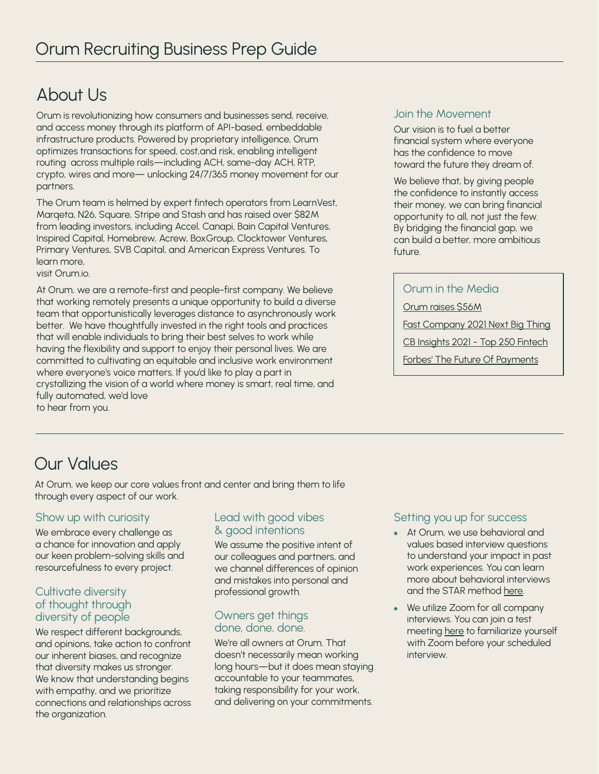# About Us

Orum is revolutionizing how consumers and businesses send, receive, and access money through its platform of API-based, embeddable infrastructure products. Powered by proprietary intelligence, Orum optimizes transactions for speed, cost,and risk, enabling intelligent routing across multiple rails—including ACH, same-day ACH, RTP, crypto, wires and more— unlocking 24/7/365 money movement for our partners.

The Orum team is helmed by expert fintech operators from LearnVest, Marqeta, N26, Square, Stripe and Stash and has raised over \$82M from leading investors, including Accel, Canapi, Bain Capital Ventures, Inspired Capital, Homebrew, Acrew, BoxGroup, Clocktower Ventures, Primary Ventures, SVB Capital, and American Express Ventures. To learn more,

visit Orum.io.

At Orum, we are a remote-first and people-first company. We believe that working remotely presents a unique opportunity to build a diverse team that opportunistically leverages distance to asynchronously work better. We have thoughtfully invested in the right tools and practices that will enable individuals to bring their best selves to work while having the flexibility and support to enjoy their personal lives. We are committed to cultivating an equitable and inclusive work environment where everyone's voice matters. If you'd like to play a part in crystallizing the vision of a world where money is smart, real time, and fully automated, we'd love to hear from you.

#### Join the Movement

Our vision is to fuel a better financial system where everyone has the confidence to move toward the future they dream of.

We believe that, by giving people the confidence to instantly access their money, we can bring financial opportunity to all, not just the few. By bridging the financial gap, we can build a better, more ambitious  $f$ utur $\alpha$ 

# Orum in the Media

[Orum raises \\$56M](https://techcrunch.com/2021/06/29/orum-raises-56m/)

[Fast Company 2021 Next Big Thing](https://www.fastcompany.com/next-big-things-in-tech)

[CB Insights 2021 - Top 250 Fintech](https://www.cbinsights.com/research/report/fintech-250-startups-most-promising/)

[Forbes' The Future Of Payments](https://www.forbes.com/sites/jeffkauflin/2021/06/08/the-future-of-payments-fintech-50-2021/?sh=6c39cda07585)

# Our Values

At Orum, we keep our core values front and center and bring them to life through every aspect of our work.

# Show up with curiosity

We embrace every challenge as a chance for innovation and apply our keen problem-solving skills and resourcefulness to every project.

# Cultivate diversity of thought through diversity of people

We respect different backgrounds, and opinions, take action to confront our inherent biases, and recognize that diversity makes us stronger. We know that understanding begins with empathy, and we prioritize connections and relationships across the organization.

# Lead with good vibes & good intentions

We assume the positive intent of our colleagues and partners, and we channel differences of opinion and mistakes into personal and professional growth.

# Owners get things done, done, done.

We're all owners at Orum. That doesn't necessarily mean working long hours—but it does mean staying accountable to your teammates, taking responsibility for your work, and delivering on your commitments.

# Setting you up for success

- At Orum, we use behavioral and values based interview questions to understand your impact in past work experiences. You can learn more about behavioral interviews and the STAR method [here.](https://www.themuse.com/advice/star-interview-method)
- We utilize Zoom for all company interviews. You can join a test meeting [here](https://support.zoom.us/hc/en-us/articles/115002262083-Joining-a-Test-Meeting) to familiarize yourself with Zoom before your scheduled interview.